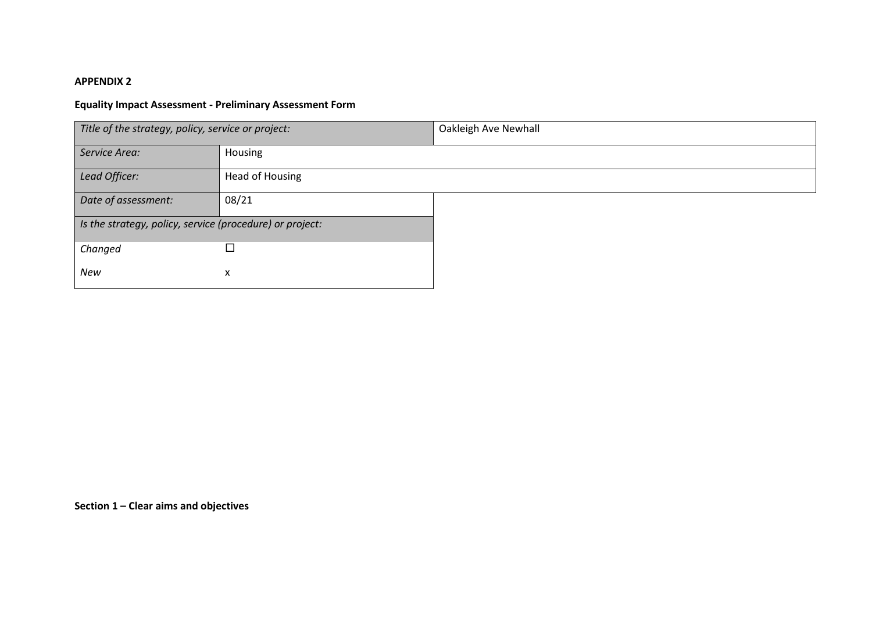## **APPENDIX 2**

## **Equality Impact Assessment - Preliminary Assessment Form**

| Title of the strategy, policy, service or project:       |                 | Oakleigh Ave Newhall |
|----------------------------------------------------------|-----------------|----------------------|
| Service Area:                                            | Housing         |                      |
| Lead Officer:                                            | Head of Housing |                      |
| Date of assessment:                                      | 08/21           |                      |
| Is the strategy, policy, service (procedure) or project: |                 |                      |
| Changed                                                  | П               |                      |
| New                                                      | x               |                      |

**Section 1 – Clear aims and objectives**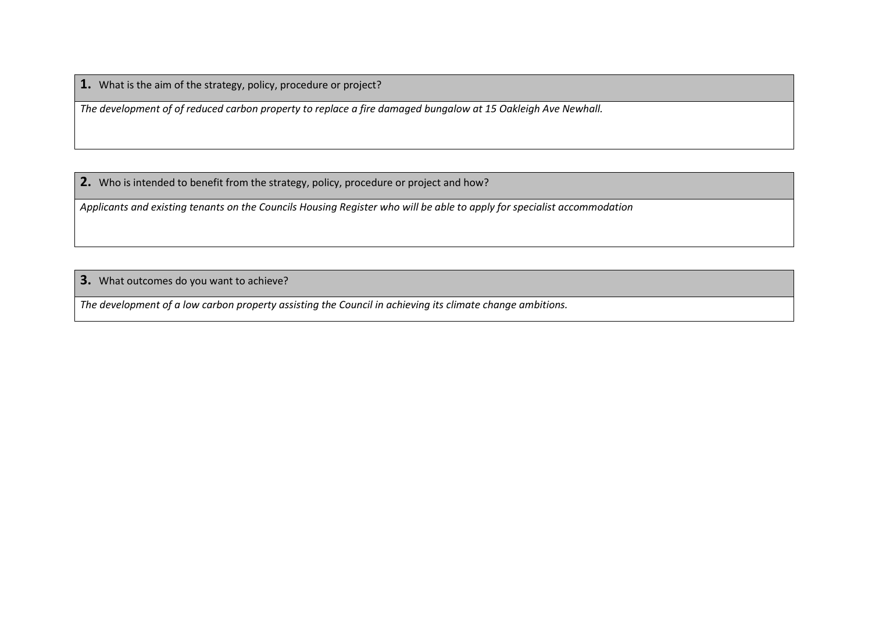**1.** What is the aim of the strategy, policy, procedure or project?

*The development of of reduced carbon property to replace a fire damaged bungalow at 15 Oakleigh Ave Newhall.*

**2.** Who is intended to benefit from the strategy, policy, procedure or project and how?

*Applicants and existing tenants on the Councils Housing Register who will be able to apply for specialist accommodation*

**3.** What outcomes do you want to achieve?

*The development of a low carbon property assisting the Council in achieving its climate change ambitions.*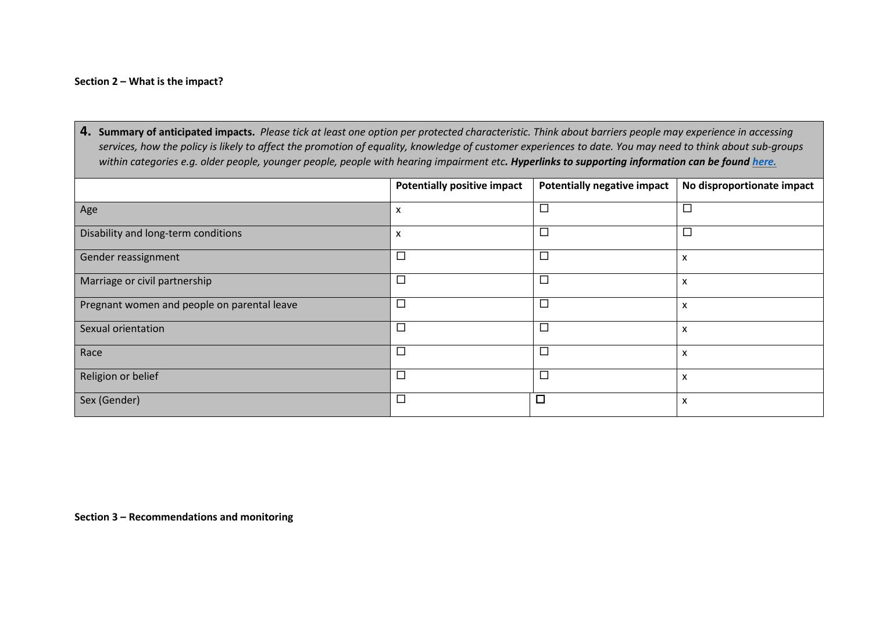## **Section 2 – What is the impact?**

**4. Summary of anticipated impacts.** *Please tick at least one option per protected characteristic. Think about barriers people may experience in accessing services, how the policy is likely to affect the promotion of equality, knowledge of customer experiences to date. You may need to think about sub-groups within categories e.g. older people, younger people, people with hearing impairment etc. Hyperlinks to supporting information can be found [here.](Definitions%20to%20support%20the%20Equality%20Impact%20Assessment%20Forms%20June%202021.docx)*

|                                             | <b>Potentially positive impact</b> | <b>Potentially negative impact</b> | No disproportionate impact |
|---------------------------------------------|------------------------------------|------------------------------------|----------------------------|
| Age                                         | х                                  |                                    | $\Box$                     |
| Disability and long-term conditions         | x                                  |                                    | $\Box$                     |
| Gender reassignment                         | $\Box$                             |                                    | x                          |
| Marriage or civil partnership               | $\Box$                             |                                    | x                          |
| Pregnant women and people on parental leave | $\Box$                             |                                    | x                          |
| Sexual orientation                          | $\Box$                             |                                    | x                          |
| Race                                        | $\Box$                             |                                    | x                          |
| Religion or belief                          | $\Box$                             |                                    | x                          |
| Sex (Gender)                                | $\Box$                             | $\Box$                             |                            |

**Section 3 – Recommendations and monitoring**